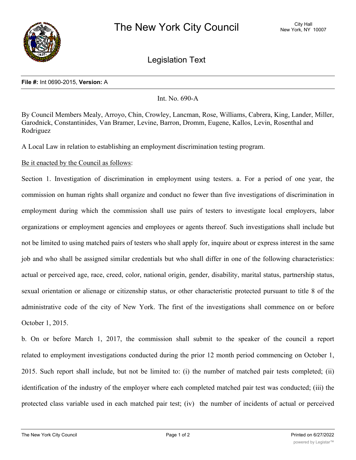

Legislation Text

## **File #:** Int 0690-2015, **Version:** A

Int. No. 690-A

By Council Members Mealy, Arroyo, Chin, Crowley, Lancman, Rose, Williams, Cabrera, King, Lander, Miller, Garodnick, Constantinides, Van Bramer, Levine, Barron, Dromm, Eugene, Kallos, Levin, Rosenthal and Rodriguez

A Local Law in relation to establishing an employment discrimination testing program.

Be it enacted by the Council as follows:

Section 1. Investigation of discrimination in employment using testers. a. For a period of one year, the commission on human rights shall organize and conduct no fewer than five investigations of discrimination in employment during which the commission shall use pairs of testers to investigate local employers, labor organizations or employment agencies and employees or agents thereof. Such investigations shall include but not be limited to using matched pairs of testers who shall apply for, inquire about or express interest in the same job and who shall be assigned similar credentials but who shall differ in one of the following characteristics: actual or perceived age, race, creed, color, national origin, gender, disability, marital status, partnership status, sexual orientation or alienage or citizenship status, or other characteristic protected pursuant to title 8 of the administrative code of the city of New York. The first of the investigations shall commence on or before October 1, 2015.

b. On or before March 1, 2017, the commission shall submit to the speaker of the council a report related to employment investigations conducted during the prior 12 month period commencing on October 1, 2015. Such report shall include, but not be limited to: (i) the number of matched pair tests completed; (ii) identification of the industry of the employer where each completed matched pair test was conducted; (iii) the protected class variable used in each matched pair test; (iv) the number of incidents of actual or perceived